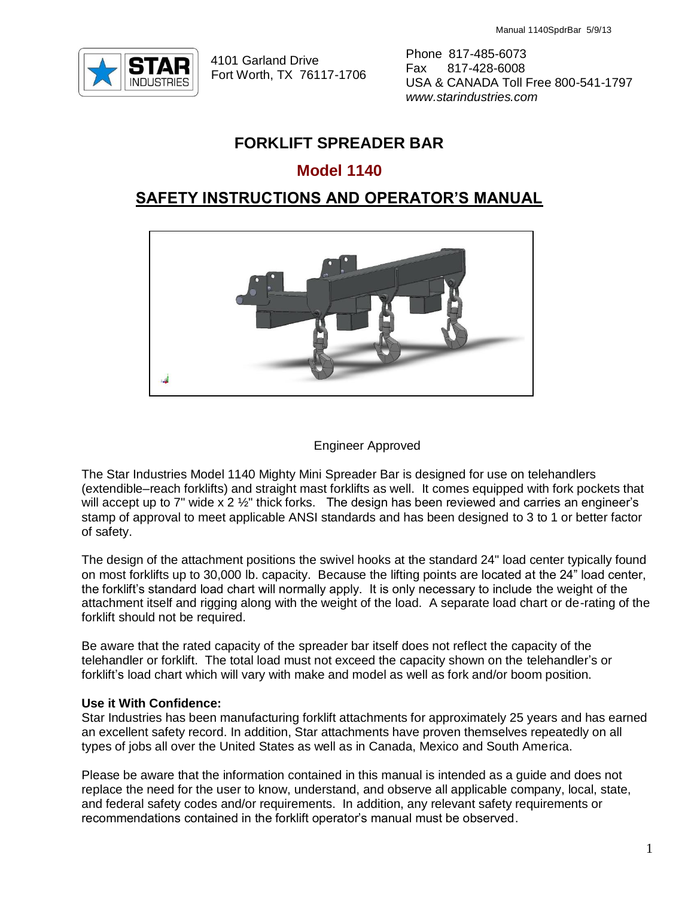

4101 Garland Drive Fort Worth, TX 76117-1706 Phone 817-485-6073 Fax 817-428-6008 USA & CANADA Toll Free 800-541-1797 *www.starindustries.com*

# **FORKLIFT SPREADER BAR**

## **Model 1140**

## **SAFETY INSTRUCTIONS AND OPERATOR'S MANUAL**



#### Engineer Approved

The Star Industries Model 1140 Mighty Mini Spreader Bar is designed for use on telehandlers (extendible–reach forklifts) and straight mast forklifts as well. It comes equipped with fork pockets that will accept up to 7" wide x 2 1/2" thick forks. The design has been reviewed and carries an engineer's stamp of approval to meet applicable ANSI standards and has been designed to 3 to 1 or better factor of safety.

The design of the attachment positions the swivel hooks at the standard 24" load center typically found on most forklifts up to 30,000 lb. capacity. Because the lifting points are located at the 24" load center, the forklift's standard load chart will normally apply. It is only necessary to include the weight of the attachment itself and rigging along with the weight of the load. A separate load chart or de-rating of the forklift should not be required.

Be aware that the rated capacity of the spreader bar itself does not reflect the capacity of the telehandler or forklift. The total load must not exceed the capacity shown on the telehandler's or forklift's load chart which will vary with make and model as well as fork and/or boom position.

#### **Use it With Confidence:**

Star Industries has been manufacturing forklift attachments for approximately 25 years and has earned an excellent safety record. In addition, Star attachments have proven themselves repeatedly on all types of jobs all over the United States as well as in Canada, Mexico and South America.

Please be aware that the information contained in this manual is intended as a guide and does not replace the need for the user to know, understand, and observe all applicable company, local, state, and federal safety codes and/or requirements. In addition, any relevant safety requirements or recommendations contained in the forklift operator's manual must be observed.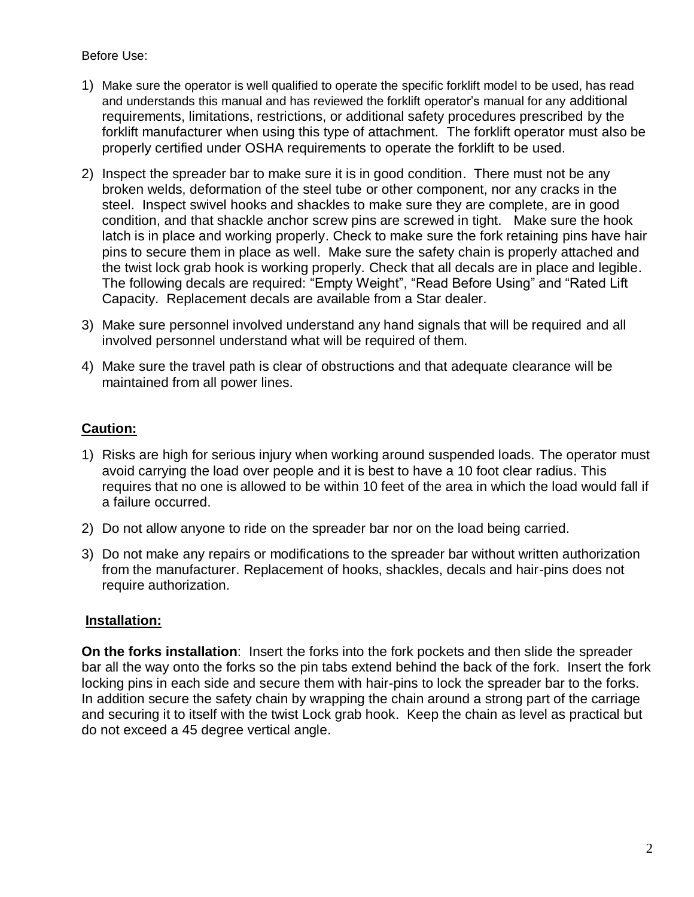### Before Use:

- 1) Make sure the operator is well qualified to operate the specific forklift model to be used, has read and understands this manual and has reviewed the forklift operator's manual for any additional requirements, limitations, restrictions, or additional safety procedures prescribed by the forklift manufacturer when using this type of attachment. The forklift operator must also be properly certified under OSHA requirements to operate the forklift to be used.
- 2) Inspect the spreader bar to make sure it is in good condition. There must not be any broken welds, deformation of the steel tube or other component, nor any cracks in the steel. Inspect swivel hooks and shackles to make sure they are complete, are in good condition, and that shackle anchor screw pins are screwed in tight. Make sure the hook latch is in place and working properly. Check to make sure the fork retaining pins have hair pins to secure them in place as well. Make sure the safety chain is properly attached and the twist lock grab hook is working properly. Check that all decals are in place and legible. The following decals are required: "Empty Weight", "Read Before Using" and "Rated Lift Capacity. Replacement decals are available from a Star dealer.
- 3) Make sure personnel involved understand any hand signals that will be required and all involved personnel understand what will be required of them.
- 4) Make sure the travel path is clear of obstructions and that adequate clearance will be maintained from all power lines.

# **Caution:**

- 1) Risks are high for serious injury when working around suspended loads. The operator must avoid carrying the load over people and it is best to have a 10 foot clear radius. This requires that no one is allowed to be within 10 feet of the area in which the load would fall if a failure occurred.
- 2) Do not allow anyone to ride on the spreader bar nor on the load being carried.
- 3) Do not make any repairs or modifications to the spreader bar without written authorization from the manufacturer. Replacement of hooks, shackles, decals and hair-pins does not require authorization.

## **Installation:**

**On the forks installation**: Insert the forks into the fork pockets and then slide the spreader bar all the way onto the forks so the pin tabs extend behind the back of the fork. Insert the fork locking pins in each side and secure them with hair-pins to lock the spreader bar to the forks. In addition secure the safety chain by wrapping the chain around a strong part of the carriage and securing it to itself with the twist Lock grab hook. Keep the chain as level as practical but do not exceed a 45 degree vertical angle.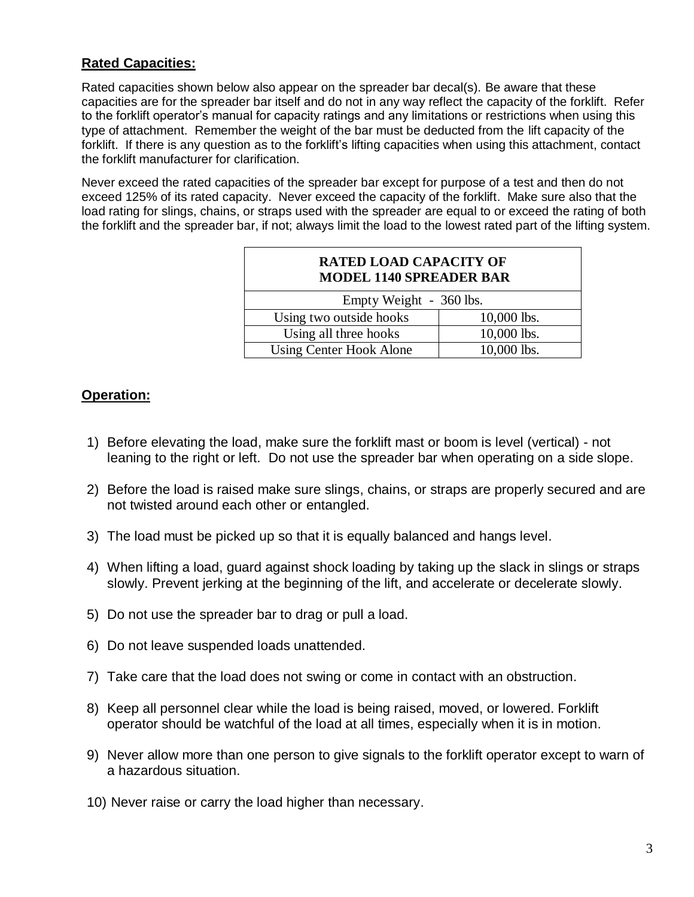### **Rated Capacities:**

Rated capacities shown below also appear on the spreader bar decal(s). Be aware that these capacities are for the spreader bar itself and do not in any way reflect the capacity of the forklift. Refer to the forklift operator's manual for capacity ratings and any limitations or restrictions when using this type of attachment. Remember the weight of the bar must be deducted from the lift capacity of the forklift. If there is any question as to the forklift's lifting capacities when using this attachment, contact the forklift manufacturer for clarification.

Never exceed the rated capacities of the spreader bar except for purpose of a test and then do not exceed 125% of its rated capacity. Never exceed the capacity of the forklift. Make sure also that the load rating for slings, chains, or straps used with the spreader are equal to or exceed the rating of both the forklift and the spreader bar, if not; always limit the load to the lowest rated part of the lifting system.

| <b>RATED LOAD CAPACITY OF</b><br><b>MODEL 1140 SPREADER BAR</b> |               |
|-----------------------------------------------------------------|---------------|
| Empty Weight - 360 lbs.                                         |               |
| Using two outside hooks                                         | $10,000$ lbs. |
| Using all three hooks                                           | 10,000 lbs.   |
| <b>Using Center Hook Alone</b>                                  | 10,000 lbs.   |

### **Operation:**

- 1) Before elevating the load, make sure the forklift mast or boom is level (vertical) not leaning to the right or left. Do not use the spreader bar when operating on a side slope.
- 2) Before the load is raised make sure slings, chains, or straps are properly secured and are not twisted around each other or entangled.
- 3) The load must be picked up so that it is equally balanced and hangs level.
- 4) When lifting a load, guard against shock loading by taking up the slack in slings or straps slowly. Prevent jerking at the beginning of the lift, and accelerate or decelerate slowly.
- 5) Do not use the spreader bar to drag or pull a load.
- 6) Do not leave suspended loads unattended.
- 7) Take care that the load does not swing or come in contact with an obstruction.
- 8) Keep all personnel clear while the load is being raised, moved, or lowered. Forklift operator should be watchful of the load at all times, especially when it is in motion.
- 9) Never allow more than one person to give signals to the forklift operator except to warn of a hazardous situation.
- 10) Never raise or carry the load higher than necessary.